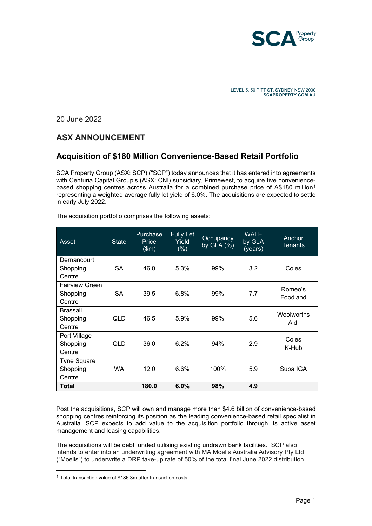

20 June 2022

## **ASX ANNOUNCEMENT**

## **Acquisition of \$180 Million Convenience-Based Retail Portfolio**

SCA Property Group (ASX: SCP) ("SCP") today announces that it has entered into agreements with Centuria Capital Group's (ASX: CNI) subsidiary, Primewest, to acquire five convenience-based shopping centres across Australia for a combined purchase price of A\$[1](#page-0-0)80 million<sup>1</sup> representing a weighted average fully let yield of 6.0%. The acquisitions are expected to settle in early July 2022.

| Asset                 | <b>State</b> | Purchase<br>Price<br>$\sqrt{(m)}$ | <b>Fully Let</b><br>Yield<br>(% ) | Occupancy<br>by $GLA(%)$ | <b>WALE</b><br>by GLA<br>(years) | Anchor<br>Tenants |
|-----------------------|--------------|-----------------------------------|-----------------------------------|--------------------------|----------------------------------|-------------------|
| Dernancourt           | SA           | 46.0                              | 5.3%                              | 99%                      | 3.2                              | Coles             |
| Shopping<br>Centre    |              |                                   |                                   |                          |                                  |                   |
| <b>Fairview Green</b> |              |                                   |                                   |                          |                                  | Romeo's           |
| Shopping              | SА           | 39.5                              | 6.8%                              | 99%                      | 7.7                              | Foodland          |
| Centre                |              |                                   |                                   |                          |                                  |                   |
| <b>Brassall</b>       |              |                                   |                                   |                          |                                  | Woolworths        |
| Shopping              | QLD          | 46.5                              | 5.9%                              | 99%                      | 5.6                              | Aldi              |
| Centre                |              |                                   |                                   |                          |                                  |                   |
| Port Village          |              |                                   |                                   |                          |                                  | Coles             |
| Shopping              | QLD          | 36.0                              | 6.2%                              | 94%                      | 2.9                              | K-Hub             |
| Centre                |              |                                   |                                   |                          |                                  |                   |
| <b>Tyne Square</b>    |              |                                   |                                   |                          |                                  |                   |
| Shopping              | WA           | 12.0                              | 6.6%                              | 100%                     | 5.9                              | Supa IGA          |
| Centre                |              |                                   |                                   |                          |                                  |                   |
| Total                 |              | 180.0                             | 6.0%                              | 98%                      | 4.9                              |                   |

The acquisition portfolio comprises the following assets:

Post the acquisitions, SCP will own and manage more than \$4.6 billion of convenience-based shopping centres reinforcing its position as the leading convenience-based retail specialist in Australia. SCP expects to add value to the acquisition portfolio through its active asset management and leasing capabilities.

The acquisitions will be debt funded utilising existing undrawn bank facilities. SCP also intends to enter into an underwriting agreement with MA Moelis Australia Advisory Pty Ltd ("Moelis") to underwrite a DRP take-up rate of 50% of the total final June 2022 distribution

<span id="page-0-0"></span> $1$  Total transaction value of \$186.3m after transaction costs